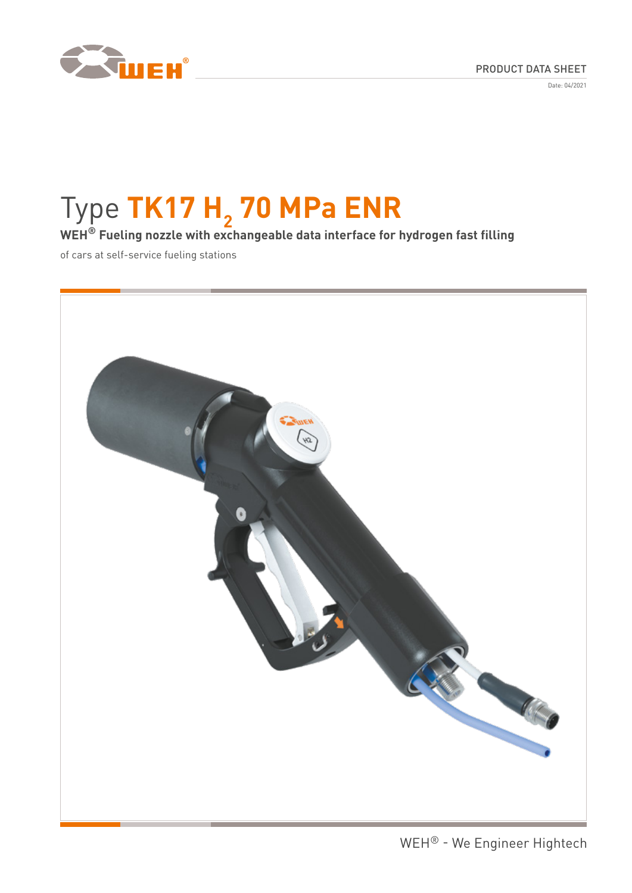

Date: 04/2021

# Type TK17 H<sub>2</sub> 70 MPa ENR

**WEH® Fueling nozzle with exchangeable data interface for hydrogen fast filling**

of cars at self-service fueling stations

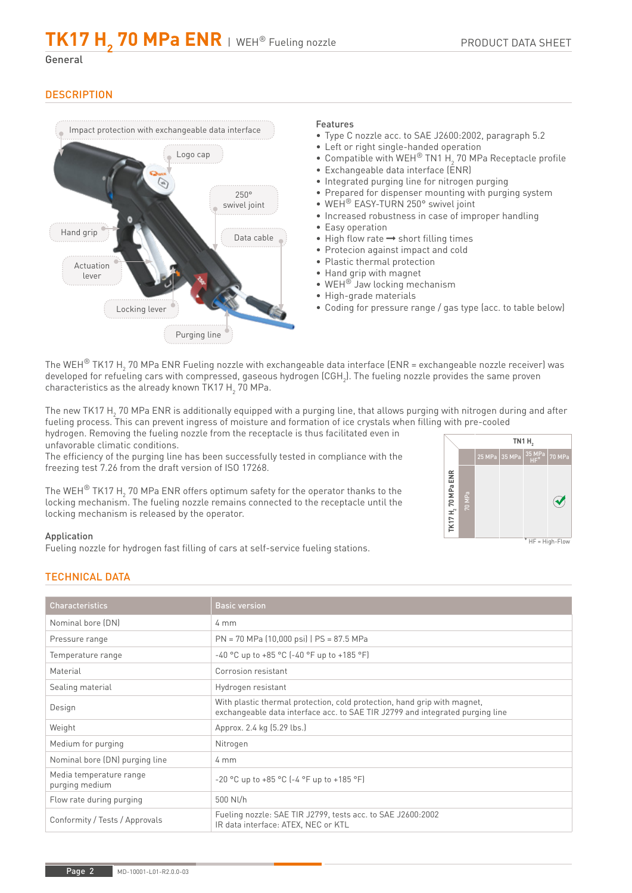# General

# **DESCRIPTION**



# Features

- Type C nozzle acc. to SAE J2600:2002, paragraph 5.2
- Left or right single-handed operation
- Compatible with WEH® TN1 H<sub>2</sub> 70 MPa Receptacle profile
- Exchangeable data interface (ENR)
- Integrated purging line for nitrogen purging
- Prepared for dispenser mounting with purging system
- WEH<sup>®</sup> EASY-TURN 250° swivel joint
- Increased robustness in case of improper handling
- Easy operation
- $\bullet$  High flow rate  $\rightarrow$  short filling times
- Protecion against impact and cold
- Plastic thermal protection
- Hand grip with magnet
- WEH® Jaw locking mechanism
- High-grade materials
- Coding for pressure range / gas type (acc. to table below)

The WEH $^{\circledR}$  TK17 H $_2$  70 MPa ENR Fueling nozzle with exchangeable data interface (ENR = exchangeable nozzle receiver) was developed for refueling cars with compressed, gaseous hydrogen (CGH $_{_2}$ ). The fueling nozzle provides the same proven characteristics as the already known TK17  $\mathsf{H}_{_2}$  70 MPa.

The new TK17 H<sub>2</sub> 70 MPa ENR is additionally equipped with a purging line, that allows purging with nitrogen during and after fueling process. This can prevent ingress of moisture and formation of ice crystals when filling with pre-cooled

hydrogen. Removing the fueling nozzle from the receptacle is thus facilitated even in unfavorable climatic conditions.

The efficiency of the purging line has been successfully tested in compliance with the freezing test 7.26 from the draft version of ISO 17268.

The WEH $^\circledR$  TK17 H $_2$  70 MPa ENR offers optimum safety for the operator thanks to the locking mechanism. The fueling nozzle remains connected to the receptacle until the locking mechanism is released by the operator.



#### $*$  HF = High-Flow

# Application

Fueling nozzle for hydrogen fast filling of cars at self-service fueling stations.

# TECHNICAL DATA

| <b>Characteristics</b>                    | <b>Basic version</b>                                                                                                                                      |
|-------------------------------------------|-----------------------------------------------------------------------------------------------------------------------------------------------------------|
| Nominal bore (DN)                         | $4 \text{ mm}$                                                                                                                                            |
| Pressure range                            | PN = 70 MPa (10,000 psi)   PS = 87.5 MPa                                                                                                                  |
| Temperature range                         | $-40$ °C up to $+85$ °C ( $-40$ °F up to $+185$ °F)                                                                                                       |
| Material                                  | Corrosion resistant                                                                                                                                       |
| Sealing material                          | Hydrogen resistant                                                                                                                                        |
| Design                                    | With plastic thermal protection, cold protection, hand grip with magnet,<br>exchangeable data interface acc. to SAE TIR J2799 and integrated purging line |
| Weight                                    | Approx. 2.4 kg (5.29 lbs.)                                                                                                                                |
| Medium for purging                        | Nitrogen                                                                                                                                                  |
| Nominal bore (DN) purging line            | $4 \text{ mm}$                                                                                                                                            |
| Media temperature range<br>purging medium | $-20$ °C up to $+85$ °C ( $-4$ °F up to $+185$ °F)                                                                                                        |
| Flow rate during purging                  | 500 Nl/h                                                                                                                                                  |
| Conformity / Tests / Approvals            | Fueling nozzle: SAE TIR J2799, tests acc. to SAE J2600:2002<br>IR data interface: ATEX, NEC or KTL                                                        |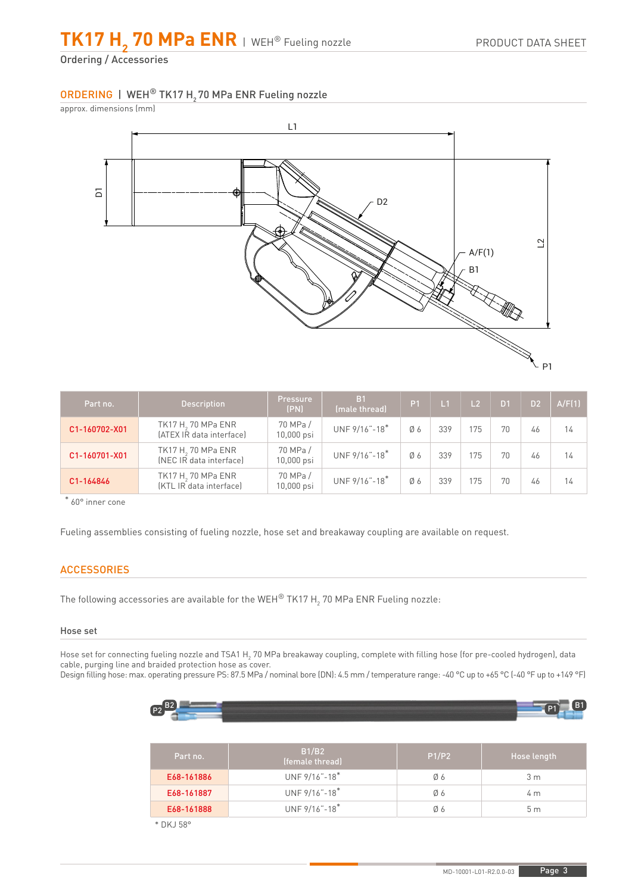**TK17 H2 70 MPa ENR** | WEH® Fueling nozzle

Ordering / Accessories

# ORDERING | WEH® TK17 H<sub>2</sub> 70 MPa ENR Fueling nozzle

approx. dimensions (mm)



| Part no.      | <b>Description</b>                                         | Pressure<br>(PN)       | B <sub>1</sub><br>(male thread) | P <sub>1</sub> | $\mathsf{L}1$ | L <sub>2</sub> | D1 | D <sub>2</sub> | A/F(1) |
|---------------|------------------------------------------------------------|------------------------|---------------------------------|----------------|---------------|----------------|----|----------------|--------|
| C1-160702-X01 | TK17 H <sub>2</sub> 70 MPa ENR<br>[ATEX IR data interface] | 70 MPa /<br>10,000 psi | UNF 9/16"-18*                   | Ø6             | 339           | 175            | 70 | 46             | 14     |
| C1-160701-X01 | TK17 H <sub>2</sub> 70 MPa ENR<br>[NEC IR data interface]  | 70 MPa /<br>10,000 psi | UNF 9/16"-18*                   | Ø6             | 339           | 175            | 70 | 46             | 14     |
| C1-164846     | TK17 H <sub>2</sub> 70 MPa ENR<br>[KTL IR data interface]  | 70 MPa /<br>10,000 psi | UNF 9/16"-18"                   | Ø6             | 339           | 175            | 70 | 46             | 14     |

\* 60° inner cone

Fueling assemblies consisting of fueling nozzle, hose set and breakaway coupling are available on request.

# **ACCESSORIES**

The following accessories are available for the WEH $^\circ$  TK17 H $_2$  70 MPa ENR Fueling nozzle:

# Hose set

Hose set for connecting fueling nozzle and TSA1 H<sub>2</sub> 70 MPa breakaway coupling, complete with filling hose (for pre-cooled hydrogen), data cable, purging line and braided protection hose as cover. Design filling hose: max. operating pressure PS: 87.5 MPa / nominal bore (DN): 4.5 mm / temperature range: -40 °C up to +65 °C (-40 °F up to +149 °F)

| $\sqrt{2}$<br>$\sqrt{2}$ | ---- | - 7 |
|--------------------------|------|-----|
|                          | ____ |     |

| Part no.   | B1/B2<br>(female thread)     | P1/P2 | Hose length    |
|------------|------------------------------|-------|----------------|
| E68-161886 | UNF $9/16 - 18$ <sup>*</sup> | 06    | 3 m            |
| E68-161887 | UNF $9/16 - 18$ <sup>*</sup> | 06    | 4 m            |
| E68-161888 | UNF 9/16"-18"                | 06    | 5 <sub>m</sub> |
|            |                              |       |                |

\* DKJ 58°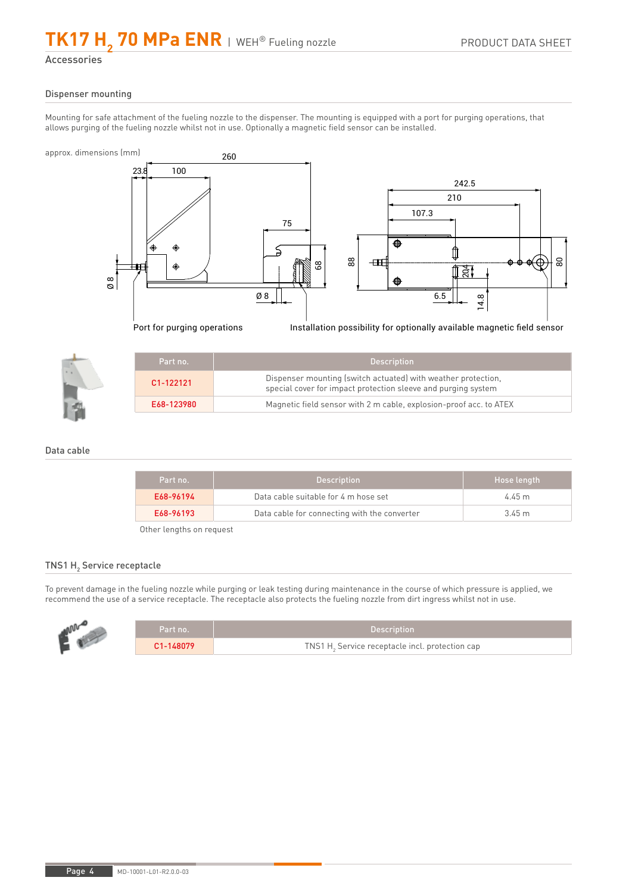## **TK17** H<sub>2</sub> 70 MPa ENR | WEH<sup>®</sup> Fueling nozzle

Accessories

#### Dispenser mounting

Mounting for safe attachment of the fueling nozzle to the dispenser. The mounting is equipped with a port for purging operations, that allows purging of the fueling nozzle whilst not in use. Optionally a magnetic field sensor can be installed.



Port for purging operations Installation possibility for optionally available magnetic field sensor

| Part no.   | <b>Description</b>                                                                                                             |
|------------|--------------------------------------------------------------------------------------------------------------------------------|
| C1-122121  | Dispenser mounting (switch actuated) with weather protection,<br>special cover for impact protection sleeve and purging system |
| E68-123980 | Magnetic field sensor with 2 m cable, explosion-proof acc. to ATEX                                                             |

## Data cable

| Part no.  | <b>Description</b>                           | Hose length |
|-----------|----------------------------------------------|-------------|
| E68-96194 | Data cable suitable for 4 m hose set         | 4.45 m      |
| E68-96193 | Data cable for connecting with the converter | 345m        |

Other lengths on request

# TNS1  $\mathsf{H}_{\scriptscriptstyle{2}}$  Service receptacle

To prevent damage in the fueling nozzle while purging or leak testing during maintenance in the course of which pressure is applied, we recommend the use of a service receptacle. The receptacle also protects the fueling nozzle from dirt ingress whilst not in use.

| .nNV | Part no.          | Description                                     |
|------|-------------------|-------------------------------------------------|
|      | $\sim$ 1-148079 . | TNS1 H. Service receptacle incl. protection cap |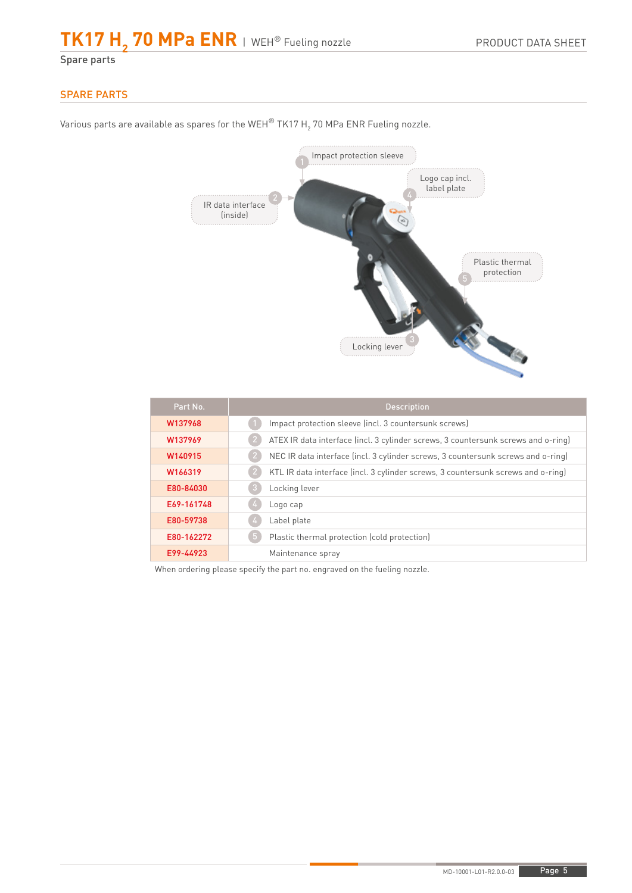Spare parts

# SPARE PARTS

Impact protection sleeve Logo cap incl. label plate IR data interface (inside) Plastic thermal protection C. C. Contractor Locking lever

Various parts are available as spares for the WEH $^\circ$  TK17 H $_2$  70 MPa ENR Fueling nozzle.

| Part No.   | <b>Description</b>                                                                |
|------------|-----------------------------------------------------------------------------------|
| W137968    | Impact protection sleeve (incl. 3 countersunk screws)                             |
| W137969    | ATEX IR data interface (incl. 3 cylinder screws, 3 countersunk screws and o-ring) |
| W140915    | NEC IR data interface (incl. 3 cylinder screws, 3 countersunk screws and o-ring)  |
| W166319    | KTL IR data interface (incl. 3 cylinder screws, 3 countersunk screws and o-ring)  |
| E80-84030  | Locking lever                                                                     |
| E69-161748 | Logo cap                                                                          |
| E80-59738  | Label plate                                                                       |
| E80-162272 | Plastic thermal protection (cold protection)<br>$\overline{a}$                    |
| E99-44923  | Maintenance spray                                                                 |

When ordering please specify the part no. engraved on the fueling nozzle.